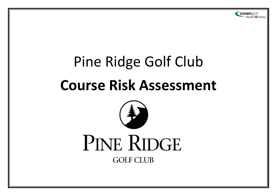

# Pine Ridge Golf Club **Course Risk Assessment**



**GOLF CLUB**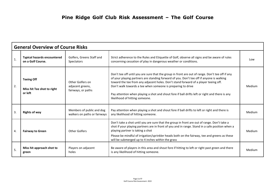| <b>General Overview of Course Risks</b> |                                                            |                                                            |                                                                                                                                                                                                                                                                                                                                                                                                                                                                                       |        |
|-----------------------------------------|------------------------------------------------------------|------------------------------------------------------------|---------------------------------------------------------------------------------------------------------------------------------------------------------------------------------------------------------------------------------------------------------------------------------------------------------------------------------------------------------------------------------------------------------------------------------------------------------------------------------------|--------|
| 1.                                      | <b>Typical hazards encountered</b><br>on a Golf Course.    | Golfers, Greens Staff and<br><b>Spectators</b>             | Strict adherence to the Rules and Etiquette of Golf, observe all signs and be aware of rules<br>concerning cessation of play in dangerous weather or conditions.                                                                                                                                                                                                                                                                                                                      | Low    |
| 2.                                      | <b>Teeing Off</b><br>Miss hit Tee shot to right<br>or left | Other Golfers on<br>adjacent greens,<br>fairways, or paths | Don't tee off until you are sure that the group in front are out of range. Don't tee off if any<br>of your playing partners are standing forward of you. Don't tee off if anyone is walking<br>toward the tee from any adjacent holes. Don't stand forward of a player teeing off.<br>Don't walk towards a tee when someone is preparing to drive<br>Pay attention when playing a shot and shout fore if ball drifts left or right and there is any<br>likelihood of hitting someone. | Medium |
| 3.                                      | <b>Rights of way</b>                                       | Members of public and dog<br>walkers on paths or fairways  | Pay attention when playing a shot and shout fore if ball drifts to left or right and there is<br>any likelihood of hitting someone.                                                                                                                                                                                                                                                                                                                                                   | Medium |
| 4.                                      | <b>Fairway to Green</b>                                    | Other Golfers                                              | Don't take a shot until you are sure that the group in front are out of range. Don't take a<br>shot if your playing partners are in front of you and in range. Stand in a safe position when a<br>playing partner is taking a shot<br>Please be mindful of irrigation/sprinkler heads both on the fairway, tee and greens as these<br>will be submerged up to 4 inches within the grass                                                                                               | Medium |
| 5.                                      | Miss hit approach shot to<br>green                         | Players on adjacent<br>holes                               | Be aware of players in this area and shout fore if hitting to left or right past green and there<br>is any likelihood of hitting someone.                                                                                                                                                                                                                                                                                                                                             | Medium |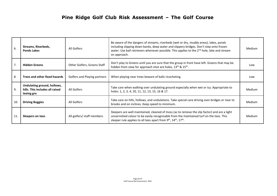| 6.  | Streams, Riverbeds,<br><b>Ponds Lakes</b>                                    | All Golfers                  | Be aware of the dangers of streams, riverbeds (wet or dry, muddy areas), lakes, ponds<br>including slipping down banks, deep water and slippery bridges. Don't step onto frozen<br>water. Use ball retrievers whenever possible. This applies to the 2 <sup>nd</sup> hole, lake and stream<br>on approach. | <b>Medium</b> |
|-----|------------------------------------------------------------------------------|------------------------------|------------------------------------------------------------------------------------------------------------------------------------------------------------------------------------------------------------------------------------------------------------------------------------------------------------|---------------|
| 7.  | <b>Hidden Greens</b>                                                         | Other Golfers, Greens Staff  | Don't play to Greens until you are sure that the group in front have left. Greens that may be<br>hidden from view for approach shot are holes, 13 <sup>th</sup> & 15 <sup>th</sup> .                                                                                                                       | Low           |
| 8.  | Trees and other fixed hazards                                                | Golfers and Playing partners | When playing near trees beware of balls ricocheting.                                                                                                                                                                                                                                                       | Low           |
| 9.  | Undulating ground, hollows,<br>hills. This includes all raised<br>teeing gro | All Golfers                  | Take care when walking over undulating ground especially when wet or icy. Appropriate to<br>holes: 1, 2, 3, 4, 10, 11, 12, 13, 15, 16 & 17.                                                                                                                                                                | Medium        |
| 10. | <b>Driving Buggies</b>                                                       | All Golfers                  | Take care on hills, hollows, and undulations. Take special care driving over bridges or near to<br>brooks and on inclines. Keep speed to minimum.                                                                                                                                                          | <b>Medium</b> |
| 11. | Sleepers on tees                                                             | All golfers/ staff members   | Sleepers are well maintained, cleaned of moss (as to remove the slip factor) and are a light<br>unvarnished colour to be easily recognisable from the maintained turf on the tees. This<br>sleeper rule applies to all tees apart from 9 <sup>th</sup> , 14 <sup>th</sup> , 17 <sup>th</sup> .             | Medium        |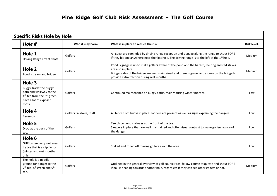| <b>Specific Risks Hole by Hole</b>                                                                                                                   |                         |                                                                                                                                                                                                                                                                      |             |  |
|------------------------------------------------------------------------------------------------------------------------------------------------------|-------------------------|----------------------------------------------------------------------------------------------------------------------------------------------------------------------------------------------------------------------------------------------------------------------|-------------|--|
| Hole #                                                                                                                                               | Who it may harm         | What is in place to reduce the risk                                                                                                                                                                                                                                  | Risk level. |  |
| Hole 1<br>Driving Range errant shots                                                                                                                 | Golfers                 | All guest are reminded by driving range reception and signage along the range to shout FORE<br>if they hit one anywhere near the first hole. The driving range is to the left of the $1st$ hole.                                                                     | Medium      |  |
| Hole 2<br>Pond, stream and bridge.                                                                                                                   | Golfers                 | Pond; signage is up to make golfers aware of the pond and the hazard, life ring and red stakes<br>are also in place.<br>Bridge; sides of the bridge are well maintained and there is gravel and stones on the bridge to<br>provide extra traction during wet months. | Medium      |  |
| Hole 3<br>Buggy Track; the buggy<br>path and walkway to the<br>4 <sup>th</sup> tee from the 3 <sup>rd</sup> green<br>have a lot of exposed<br>roots. | Golfers                 | Continued maintenance on buggy paths, mainly during winter months.                                                                                                                                                                                                   | Low         |  |
| Hole 4<br>Reservoir                                                                                                                                  | Golfers, Walkers, Staff | All fenced off, buoys in place. Ladders are present as well as signs explaining the dangers.                                                                                                                                                                         | Low         |  |
| Hole 5<br>Drop at the back of the<br>tee.                                                                                                            | Golfers                 | Tee placement is always at the front of the tee.<br>Sleepers in place that are well maintained and offer visual contrast to make golfers aware of<br>the danger.                                                                                                     | Low         |  |
| Hole 6<br>GUR by tee, very wet area<br>by tee that is a slip factor.<br>(winter and wet months<br>only)                                              | Golfers                 | Staked and roped off making golfers avoid the area.                                                                                                                                                                                                                  | Low         |  |
| The hole is a middle<br>ground for danger to the<br>$7th$ tee, $8th$ green and $9th$<br>tee.                                                         | Golfers                 | Outlined in the general overview of golf course risks, follow course etiquette and shout FORE<br>if ball is heading towards another hole, regardless if they can see other golfers or not.                                                                           | Medium      |  |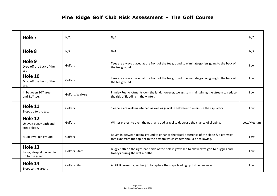| Hole 7                                                         | N/A              | N/A                                                                                                                                                                      | N/A        |
|----------------------------------------------------------------|------------------|--------------------------------------------------------------------------------------------------------------------------------------------------------------------------|------------|
| Hole 8                                                         | N/A              | N/A                                                                                                                                                                      | N/A        |
| Hole 9<br>Drop off the back of the<br>tee                      | Golfers          | Tees are always placed at the front of the tee ground to eliminate golfers going to the back of<br>the tee ground.                                                       | Low        |
| Hole 10<br>Drop off the back of the<br>tee.                    | Golfers          | Tees are always placed at the front of the tee ground to eliminate golfers going to the back of<br>the tee ground.                                                       | Low        |
| In between 10 <sup>th</sup> green<br>and 11 <sup>th</sup> tee. | Golfers, Walkers | Frimley Fuel Allotments own the land; however, we assist in maintaining the stream to reduce<br>the risk of flooding in the winter.                                      | Low        |
| Hole 11<br>Steps up to the tee.                                | Golfers          | Sleepers are well maintained as well as gravel in between to minimise the slip factor                                                                                    | Low        |
| Hole 12<br>Uneven buggy path and<br>steep slope.               | Golfers          | Winter project to even the path and add gravel to decrease the chance of slipping.                                                                                       | Low/Medium |
| Multi-level tee ground.                                        | Golfers          | Rough in between teeing ground to enhance the visual difference of the slope & a pathway<br>that runs from the top tier to the bottom which golfers should be following. | Low        |
| Hole 13<br>Large, steep slope leading<br>up to the green.      | Golfers, Staff   | Buggy path on the right-hand side of the hole is gravelled to allow extra grip to buggies and<br>trolleys during the wet months.                                         | Low        |
| Hole 14<br>Steps to the green.                                 | Golfers, Staff   | All GUR currently, winter job to replace the steps leading up to the tee ground.                                                                                         | Low        |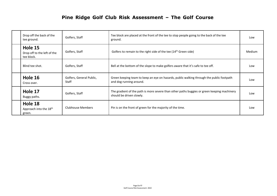## **Pine Ridge Golf Club Risk Assessment – The Golf Course**

| Drop off the back of the<br>tee ground.                 | Golfers, Staff                           | Tee block are placed at the front of the tee to stop people going to the back of the tee<br>ground.                     | Low    |
|---------------------------------------------------------|------------------------------------------|-------------------------------------------------------------------------------------------------------------------------|--------|
| Hole 15<br>Drop off to the left of the<br>tee block.    | Golfers, Staff                           | Golfers to remain to the right side of the tee (14 <sup>th</sup> Green side)                                            | Medium |
| Blind tee shot.                                         | Golfers, Staff                           | Bell at the bottom of the slope to make golfers aware that it's safe to tee off.                                        | Low    |
| Hole 16<br>Cross over.                                  | Golfers, General Public,<br><b>Staff</b> | Green keeping team to keep an eye on hazards, public walking through the public footpath<br>and dog running around.     | Low    |
| Hole 17<br>Buggy paths.                                 | Golfers, Staff                           | The gradient of the path is more severe than other paths buggies or green keeping machinery<br>should be driven slowly. | Low    |
| Hole 18<br>Approach into the 18 <sup>th</sup><br>green. | Clubhouse Members                        | Pin is on the front of green for the majority of the time.                                                              | Low    |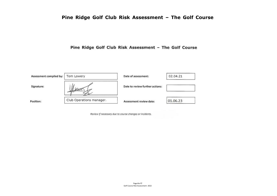## **Pine Ridge Golf Club Risk Assessment – The Golf Course**

Pine Ridge Golf Club Risk Assessment - The Golf Course



Review If necessary due to course changes or incidents.